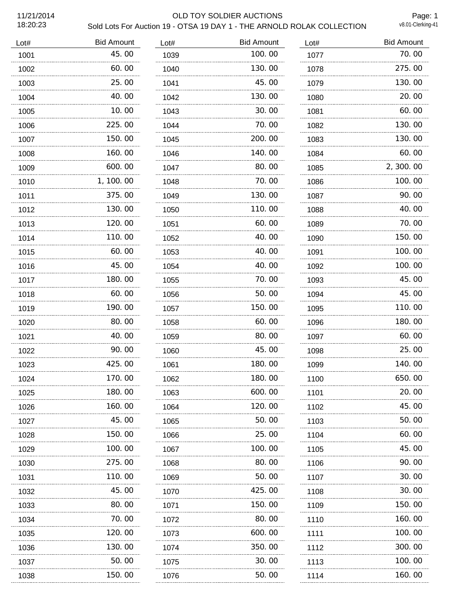## 11/21/2014 OLD TOY SOLDIER AUCTIONS Sold Lots For Auction 19 - OTSA 19 DAY 1 - THE ARNOLD ROLAK COLLECTION

Page: 1<br>v8.01-Clerking-41

| Lot# | <b>Bid Amount</b> | Lot# | <b>Bid Amount</b> | Lot# | <b>Bid Amount</b> |
|------|-------------------|------|-------------------|------|-------------------|
| 1001 | 45.00             | 1039 | 100.00            | 1077 | 70.00             |
| 1002 | 60.00             | 1040 | 130.00            | 1078 | 275.00            |
| 1003 | 25.00             | 1041 | 45.00             | 1079 | 130.00            |
| 1004 | 40.00             | 1042 | 130.00            | 1080 | 20.00             |
| 1005 | 10.00             | 1043 | 30.00             | 1081 | 60.00             |
| 1006 | 225.00            | 1044 | 70.00             | 1082 | 130.00            |
| 1007 | 150.00            | 1045 | 200.00            | 1083 | 130.00            |
| 1008 | 160.00            | 1046 | 140.00            | 1084 | 60.00             |
| 1009 | 600.00            | 1047 | 80.00             | 1085 | 2, 300.00         |
| 1010 | 1, 100. 00        | 1048 | 70.00             | 1086 | 100.00            |
| 1011 | 375.00            | 1049 | 130.00            | 1087 | 90.00             |
| 1012 | 130.00            | 1050 | 110.00            | 1088 | 40.00             |
| 1013 | 120.00            | 1051 | 60.00             | 1089 | 70.00             |
| 1014 | 110.00            | 1052 | 40.00             | 1090 | 150.00            |
| 1015 | 60.00             | 1053 | 40.00             | 1091 | 100.00            |
| 1016 | 45.00             | 1054 | 40.00             | 1092 | 100.00            |
| 1017 | 180.00            | 1055 | 70.00             | 1093 | 45.00             |
| 1018 | 60.00             | 1056 | 50.00             | 1094 | 45.00             |
| 1019 | 190.00            | 1057 | 150.00            | 1095 | 110.00            |
| 1020 | 80.00             | 1058 | 60.00             | 1096 | 180.00            |
| 1021 | 40.00             | 1059 | 80.00             | 1097 | 60.00             |
| 1022 | 90.00             | 1060 | 45.00             | 1098 | 25.00             |
| 1023 | 425.00            | 1061 | 180.00            | 1099 | 140.00            |
| 1024 | 170.00            | 1062 | 180.00            | 1100 | 650.00            |
| 1025 | 180. 00           | 1063 | 600.00            | 1101 | 20.00             |
| 1026 | 160. 00           | 1064 | 120.00            | 1102 | 45.00             |
| 1027 | 45.00             | 1065 | 50.00             | 1103 | 50.00             |
| 1028 | 150.00            | 1066 | 25.00             | 1104 | 60.00             |
| 1029 | 100.00            | 1067 | 100.00            | 1105 | 45.00             |
| 1030 | 275.00            | 1068 | 80.00             | 1106 | 90.00             |
| 1031 | 110. 00           | 1069 | 50.00             | 1107 | 30.00             |
| 1032 | 45.00             | 1070 | 425.00            | 1108 | 30.00             |
| 1033 | 80.00             | 1071 | 150.00            | 1109 | 150.00            |
| 1034 | 70.00             | 1072 | 80.00             | 1110 | 160.00            |
| 1035 | 120. 00           | 1073 | 600.00            | 1111 | 100.00            |
| 1036 | 130. 00           | 1074 | 350.00            | 1112 | 300.00            |
| 1037 | 50.00             | 1075 | 30.00             | 1113 | 100.00            |
| 1038 | 150.00            | 1076 | 50.00             | 1114 | 160.00            |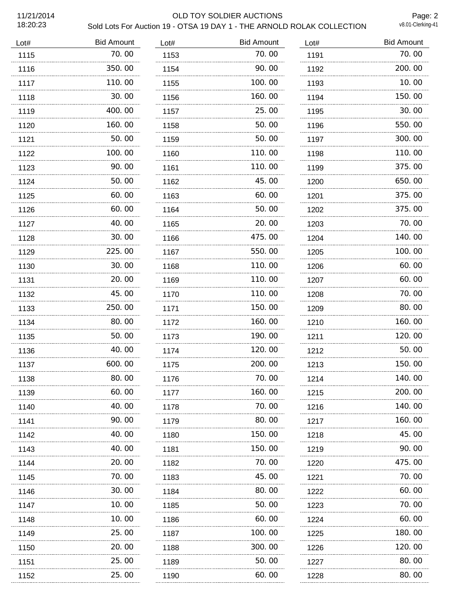#### 11/21/2014 OLD TOY SOLDIER AUCTIONS Sold Lots For Auction 19 - OTSA 19 DAY 1 - THE ARNOLD ROLAK COLLECTION

Page: 2<br>v8.01-Clerking-41

| Lot# | <b>Bid Amount</b> | Lot# | <b>Bid Amount</b> | Lot# | <b>Bid Amount</b> |
|------|-------------------|------|-------------------|------|-------------------|
| 1115 | 70.00             | 1153 | 70.00             | 1191 | 70.00             |
| 1116 | 350.00            | 1154 | 90.00             | 1192 | 200.00            |
| 1117 | 110.00            | 1155 | 100.00            | 1193 | 10.00             |
| 1118 | 30.00             | 1156 | 160.00            | 1194 | 150.00            |
| 1119 | 400.00            | 1157 | 25.00             | 1195 | 30.00             |
| 1120 | 160.00            | 1158 | 50.00             | 1196 | 550.00            |
| 1121 | 50.00             | 1159 | 50.00             | 1197 | 300.00            |
| 1122 | 100.00            | 1160 | 110.00            | 1198 | 110.00            |
| 1123 | 90.00             | 1161 | 110.00            | 1199 | 375.00            |
| 1124 | 50.00             | 1162 | 45.00             | 1200 | 650.00            |
| 1125 | 60.00             | 1163 | 60.00             | 1201 | 375.00            |
| 1126 | 60.00             | 1164 | 50.00             | 1202 | 375.00            |
| 1127 | 40.00             | 1165 | 20.00             | 1203 | 70.00             |
| 1128 | 30.00             | 1166 | 475.00            | 1204 | 140.00            |
| 1129 | 225.00            | 1167 | 550.00            | 1205 | 100.00            |
| 1130 | 30.00             | 1168 | 110.00            | 1206 | 60.00             |
| 1131 | 20, 00            | 1169 | 110.00            | 1207 | 60.00             |
| 1132 | 45.00             | 1170 | 110.00            | 1208 | 70.00             |
| 1133 | 250.00            | 1171 | 150.00            | 1209 | 80.00             |
| 1134 | 80.00             | 1172 | 160.00            | 1210 | 160.00            |
| 1135 | 50.00             | 1173 | 190.00            | 1211 | 120.00            |
| 1136 | 40.00             | 1174 | 120.00            | 1212 | 50.00             |
| 1137 | .<br>600.00       | 1175 | 200.00            | 1213 | 150.00            |
| 1138 | 80.00             | 1176 | 70.00             | 1214 | 140.00            |
| 1139 | 60.00             | 1177 | 160. 00           | 1215 | 200.00            |
| 1140 | 40.00             | 1178 | 70.00             | 1216 | 140.00            |
| 1141 | 90.00             | 1179 | 80.00             | 1217 | 160. 00           |
| 1142 | 40.00             | 1180 | 150. 00           | 1218 | 45.00             |
| 1143 | 40.00             | 1181 | 150.00            | 1219 | 90. 00            |
| 1144 | 20.00             | 1182 | 70.00             | 1220 | 475.00            |
| 1145 | 70.00             | 1183 | 45.00             | 1221 | 70. 00            |
| 1146 | 30.00             | 1184 | 80.00             | 1222 | 60.00             |
| 1147 | 10.00             | 1185 | 50.00             | 1223 | 70.00             |
| 1148 | 10.00             | 1186 | 60.00             | 1224 | 60.00             |
| 1149 | 25.00             | 1187 | 100.00            | 1225 | 180.00            |
| 1150 | 20.00             | 1188 | 300.00            | 1226 | 120.00            |
| 1151 | 25.00             | 1189 | 50.00             | 1227 | 80.00             |
| 1152 | 25.00             | 1190 | 60.00             | 1228 | 80.00             |
|      |                   |      |                   |      |                   |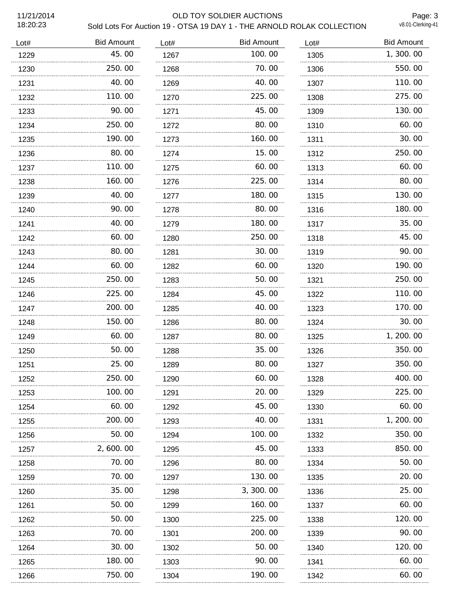## 11/21/2014 OLD TOY SOLDIER AUCTIONS

Sold Lots For Auction 19 - OTSA 19 DAY 1 - THE ARNOLD ROLAK COLLECTION

Page: 3<br>v8.01-Clerking-41

| Lot# | <b>Bid Amount</b> | Lot# | <b>Bid Amount</b> | Lot# | <b>Bid Amount</b> |
|------|-------------------|------|-------------------|------|-------------------|
| 1229 | 45.00             | 1267 | 100.00            | 1305 | 1,300.00          |
| 1230 | 250.00            | 1268 | 70.00             | 1306 | 550.00            |
| 1231 | 40.00             | 1269 | 40.00             | 1307 | 110.00            |
| 1232 | 110.00            | 1270 | 225.00            | 1308 | 275.00            |
| 1233 | 90.00             | 1271 | 45.00             | 1309 | 130.00            |
| 1234 | 250.00            | 1272 | 80.00             | 1310 | 60.00             |
| 1235 | 190.00            | 1273 | 160.00            | 1311 | 30.00             |
| 1236 | 80.00             | 1274 | 15.00             | 1312 | 250.00            |
| 1237 | 110. 00           | 1275 | 60.00             | 1313 | 60.00             |
| 1238 | 160.00            | 1276 | 225.00            | 1314 | 80.00             |
| 1239 | 40.00             | 1277 | 180.00            | 1315 | 130.00            |
| 1240 | 90.00             | 1278 | 80.00             | 1316 | 180.00            |
| 1241 | 40.00             | 1279 | 180.00            | 1317 | 35.00             |
| 1242 | 60.00             | 1280 | 250.00            | 1318 | 45.00             |
| 1243 | 80.00             | 1281 | 30.00             | 1319 | 90.00             |
| 1244 | 60.00             | 1282 | 60.00             | 1320 | 190.00            |
| 1245 | 250.00            | 1283 | 50.00             | 1321 | 250.00            |
| 1246 | 225.00            | 1284 | 45.00             | 1322 | 110.00            |
| 1247 | 200.00            | 1285 | 40.00             | 1323 | 170.00            |
| 1248 | 150.00            | 1286 | 80.00             | 1324 | 30.00             |
| 1249 | 60.00             | 1287 | 80.00             | 1325 | 1, 200. 00        |
| 1250 | 50.00             | 1288 | 35.00             | 1326 | 350.00            |
| 1251 | 25.00             | 1289 | 80.00             | 1327 | 350.00            |
| 1252 | 250.00            | 1290 | 60.00             | 1328 | 400.00            |
| 1253 | 100.00            | 1291 | 20,00             | 1329 | 225.00            |
| 1254 | 60.00             | 1292 | 45.00             | 1330 | 60.00             |
| 1255 | 200, 00           | 1293 | 40.00             | 1331 | 1, 200. 00        |
| 1256 | 50.00             | 1294 | 100.00            | 1332 | 350.00            |
| 1257 | 2, 600, 00<br>.   | 1295 | 45.00             | 1333 | 850.00            |
| 1258 | 70.00             | 1296 | 80.00             | 1334 | 50.00             |
| 1259 | 70.00             | 1297 | 130.00            | 1335 | 20.00             |
| 1260 | 35.00             | 1298 | 3, 300.00         | 1336 | 25.00             |
| 1261 | 50.00             | 1299 | 160.00            | 1337 | 60.00             |
| 1262 | 50.00             | 1300 | 225.00            | 1338 | 120.00            |
| 1263 | 70.00             | 1301 | 200.00            | 1339 | 90. 00            |
| 1264 | 30.00             | 1302 | 50.00             | 1340 | 120.00            |
| 1265 | 180. 00           | 1303 | 90.00             | 1341 | 60.00             |
| 1266 | 750.00            | 1304 | 190.00            | 1342 | 60.00             |
|      |                   |      |                   |      |                   |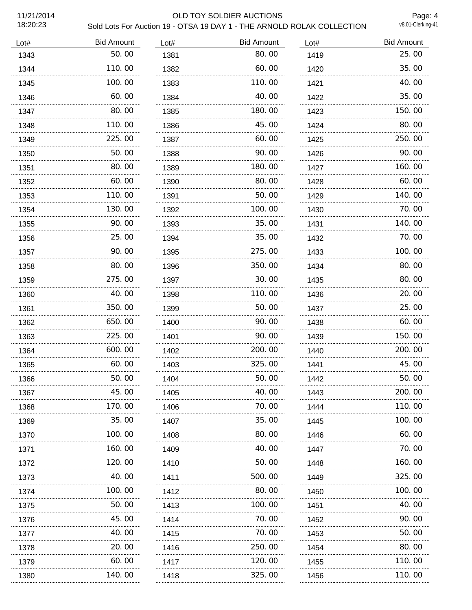## 11/21/2014 OLD TOY SOLDIER AUCTIONS Sold Lots For Auction 19 - OTSA 19 DAY 1 - THE ARNOLD ROLAK COLLECTION

Page: 4<br>v8.01-Clerking-41

| Lot# | <b>Bid Amount</b> | Lot# | <b>Bid Amount</b> | Lot# | <b>Bid Amount</b> |
|------|-------------------|------|-------------------|------|-------------------|
| 1343 | 50.00             | 1381 | 80.00             | 1419 | 25.00             |
| 1344 | 110.00            | 1382 | 60.00             | 1420 | 35.00             |
| 1345 | 100.00            | 1383 | 110.00            | 1421 | 40.00             |
| 1346 | 60.00             | 1384 | 40.00             | 1422 | 35.00             |
| 1347 | 80.00             | 1385 | 180.00            | 1423 | 150.00            |
| 1348 | 110.00            | 1386 | 45.00             | 1424 | 80.00             |
| 1349 | 225.00            | 1387 | 60.00             | 1425 | 250.00            |
| 1350 | 50.00             | 1388 | 90.00             | 1426 | 90.00             |
| 1351 | 80.00             | 1389 | 180.00            | 1427 | 160.00            |
| 1352 | 60.00             | 1390 | 80.00             | 1428 | 60.00             |
| 1353 | 110.00            | 1391 | 50.00             | 1429 | 140.00            |
| 1354 | 130.00            | 1392 | 100.00            | 1430 | 70.00             |
| 1355 | 90.00             | 1393 | 35.00             | 1431 | 140.00            |
| 1356 | 25.00             | 1394 | 35.00             | 1432 | 70.00             |
| 1357 | 90.00             | 1395 | 275.00            | 1433 | 100.00            |
| 1358 | 80.00             | 1396 | 350.00            | 1434 | 80.00             |
| 1359 | 275.00            | 1397 | 30.00             | 1435 | 80.00             |
| 1360 | 40.00             | 1398 | 110.00            | 1436 | 20.00             |
| 1361 | 350.00            | 1399 | 50.00             | 1437 | 25.00             |
| 1362 | 650.00            | 1400 | 90.00             | 1438 | 60.00             |
| 1363 | 225.00            | 1401 | 90.00             | 1439 | 150.00            |
| 1364 | 600.00            | 1402 | 200.00            | 1440 | 200.00            |
| 1365 | 60.00             | 1403 | 325.00            | 1441 | 45.00             |
| 1366 | 50.00             | 1404 | 50.00             | 1442 | 50.00             |
| 1367 | 45.00             | 1405 | 40.00             | 1443 | 200.00            |
| 1368 | 170.00            | 1406 | 70.00             | 1444 | 110.00            |
| 1369 | 35.00             | 1407 | 35.00             | 1445 | 100.00            |
| 1370 | 100. 00           | 1408 | 80.00             | 1446 | 60.00             |
| 1371 | 160.00            | 1409 | 40.00             | 1447 | 70.00             |
| 1372 | 120.00            | 1410 | 50.00             | 1448 | 160.00            |
| 1373 | 40.00             | 1411 | 500.00            | 1449 | 325.00            |
| 1374 | 100. 00           | 1412 | 80.00             | 1450 | 100.00            |
| 1375 | 50.00             | 1413 | 100.00            | 1451 | 40.00             |
| 1376 | 45.00             | 1414 | 70.00             | 1452 | 90.00             |
| 1377 | 40.00             | 1415 | 70.00             | 1453 | 50.00             |
| 1378 | 20.00             | 1416 | 250.00            | 1454 | 80.00             |
| 1379 | 60.00             | 1417 | 120.00            | 1455 | 110.00            |
| 1380 | 140.00            | 1418 | 325.00            | 1456 | 110.00            |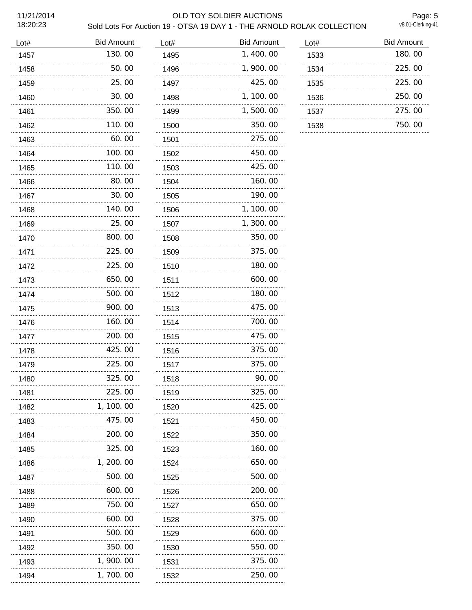## 11/21/2014 OLD TOY SOLDIER AUCTIONS Sold Lots For Auction 19 - OTSA 19 DAY 1 - THE ARNOLD ROLAK COLLECTION

Page: 5<br>v8.01-Clerking-41

| Lot# | <b>Bid Amount</b> | Lot# | <b>Bid Amount</b> | Lot# | <b>Bid Amount</b> |
|------|-------------------|------|-------------------|------|-------------------|
| 1457 | 130.00            | 1495 | 1,400.00          | 1533 | 180.00            |
| 1458 | 50.00             | 1496 | 1,900.00          | 1534 | 225.00            |
| 1459 | 25.00             | 1497 | 425.00            | 1535 | 225.00            |
| 1460 | 30.00             | 1498 | 1, 100.00         | 1536 | 250.00            |
| 1461 | 350.00            | 1499 | 1,500.00          | 1537 | 275.00            |
| 1462 | 110.00            | 1500 | 350.00            | 1538 | 750.00            |
| 1463 | 60.00<br>.        | 1501 | 275.00<br>.       |      |                   |
| 1464 | 100.00            | 1502 | 450.00            |      |                   |
| 1465 | 110.00            | 1503 | 425.00            |      |                   |
| 1466 | 80.00             | 1504 | 160.00            |      |                   |
| 1467 | 30.00             | 1505 | 190.00            |      |                   |
| 1468 | 140. 00           | 1506 | 1, 100.00         |      |                   |
| 1469 | 25.00             | 1507 | 1, 300. 00        |      |                   |
| 1470 | 800.00            | 1508 | 350.00            |      |                   |
| 1471 | 225.00            | 1509 | 375.00            |      |                   |
| 1472 | 225.00            | 1510 | 180.00            |      |                   |
| 1473 | 650.00            | 1511 | 600.00            |      |                   |
| 1474 | 500.00            | 1512 | 180.00            |      |                   |
| 1475 | 900.00            | 1513 | 475.00            |      |                   |
| 1476 | 160.00            | 1514 | 700.00            |      |                   |
| 1477 | 200.00            | 1515 | 475.00            |      |                   |
| 1478 | 425.00            | 1516 | 375.00            |      |                   |
| 1479 | 225.00            | 1517 | 375.00            |      |                   |
| 1480 | 325.00            | 1518 | 90.00             |      |                   |
| 1481 | 225.00            | 1519 | 325.00            |      |                   |
| 1482 | 1, 100.00         | 1520 | 425.00            |      |                   |
| 1483 | 475.00            | 1521 | 450.00            |      |                   |
| 1484 | 200.00            | 1522 | 350.00            |      |                   |
| 1485 | 325.00            | 1523 | 160.00            |      |                   |
| 1486 | 1, 200. 00        | 1524 | 650.00            |      |                   |
| 1487 | 500.00            | 1525 | 500.00            |      |                   |
| 1488 | 600.00            | 1526 | 200.00            |      |                   |
| 1489 | 750.00            | 1527 | 650.00            |      |                   |
| 1490 | 600.00            | 1528 | 375.00            |      |                   |
| 1491 | 500.00            | 1529 | 600.00            |      |                   |
| 1492 | 350.00            | 1530 | 550.00            |      |                   |
| 1493 | 1, 900. 00        | 1531 | 375.00            |      |                   |
| 1494 | 1, 700. 00        | 1532 | 250.00            |      |                   |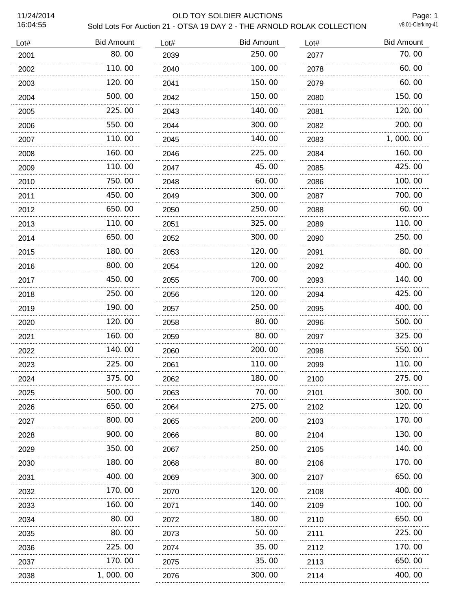## 11/24/2014 OLD TOY SOLDIER AUCTIONS Sold Lots For Auction 21 - OTSA 19 DAY 2 - THE ARNOLD ROLAK COLLECTION

Page: 1<br>v8.01-Clerking-41

| Lot# | <b>Bid Amount</b> | Lot# | <b>Bid Amount</b> | Lot# | <b>Bid Amount</b> |
|------|-------------------|------|-------------------|------|-------------------|
| 2001 | 80.00             | 2039 | 250.00            | 2077 | 70.00             |
| 2002 | 110.00            | 2040 | 100.00            | 2078 | 60.00             |
| 2003 | 120.00            | 2041 | 150.00            | 2079 | 60.00             |
| 2004 | 500.00            | 2042 | 150.00            | 2080 | 150.00            |
| 2005 | 225.00            | 2043 | 140.00            | 2081 | 120.00            |
| 2006 | 550.00            | 2044 | 300.00            | 2082 | 200.00            |
| 2007 | 110.00            | 2045 | 140.00            | 2083 | 1,000.00          |
| 2008 | 160.00            | 2046 | 225,00            | 2084 | 160.00            |
| 2009 | 110.00            | 2047 | 45.00             | 2085 | 425.00            |
| 2010 | 750.00            | 2048 | 60.00             | 2086 | 100.00            |
| 2011 | 450.00            | 2049 | 300.00            | 2087 | 700.00            |
| 2012 | 650.00            | 2050 | 250.00            | 2088 | 60.00             |
| 2013 | 110.00            | 2051 | 325.00            | 2089 | 110.00            |
| 2014 | 650.00            | 2052 | 300.00            | 2090 | 250.00            |
| 2015 | 180.00            | 2053 | 120.00            | 2091 | 80.00             |
| 2016 | 800.00            | 2054 | 120.00            | 2092 | 400.00            |
| 2017 | 450.00            | 2055 | 700.00            | 2093 | 140.00            |
| 2018 | 250.00            | 2056 | 120,00            | 2094 | 425.00            |
| 2019 | 190.00            | 2057 | 250.00            | 2095 | 400.00            |
| 2020 | 120.00            | 2058 | 80.00             | 2096 | 500.00            |
| 2021 | 160.00            | 2059 | 80.00             | 2097 | 325.00            |
| 2022 | 140.00            | 2060 | 200.00            | 2098 | 550.00            |
| 2023 | 225.00            | 2061 | 110.00            | 2099 | 110.00            |
| 2024 | 375.00            | 2062 | 180.00            | 2100 | 275.00            |
| 2025 | 500. 00           | 2063 | 70. 00            | 2101 | 300. 00           |
| 2026 | 650.00            | 2064 | 275.00            | 2102 | 120.00            |
| 2027 | 800.00            | 2065 | 200.00            | 2103 | 170.00            |
| 2028 | 900.00            | 2066 | 80.00             | 2104 | 130.00            |
| 2029 | 350.00            | 2067 | 250.00            | 2105 | 140.00            |
| 2030 | 180.00            | 2068 | 80.00             | 2106 | 170.00            |
| 2031 | 400.00            | 2069 | 300.00            | 2107 | 650.00            |
| 2032 | 170.00            | 2070 | 120.00            | 2108 | 400.00            |
| 2033 | 160.00            | 2071 | 140.00            | 2109 | 100.00            |
| 2034 | 80.00             | 2072 | 180.00            | 2110 | 650.00            |
| 2035 | 80.00             | 2073 | 50.00             | 2111 | 225.00            |
| 2036 | 225.00            | 2074 | 35.00             | 2112 | 170. 00           |
| 2037 | 170.00            | 2075 | 35.00             | 2113 | 650.00            |
| 2038 | 1,000.00          | 2076 | 300.00            | 2114 | 400.00            |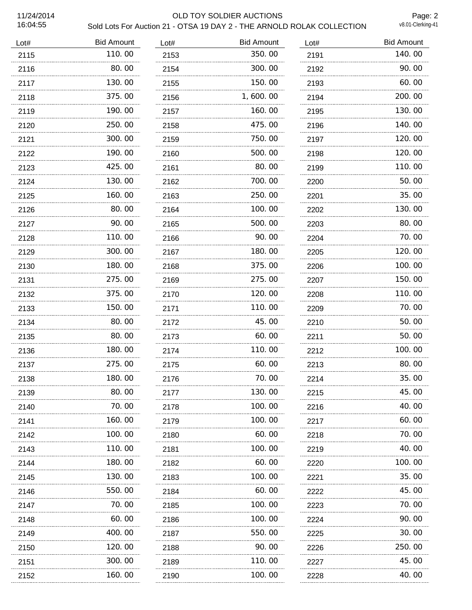## 11/24/2014 OLD TOY SOLDIER AUCTIONS Sold Lots For Auction 21 - OTSA 19 DAY 2 - THE ARNOLD ROLAK COLLECTION

Page: 2<br>v8.01-Clerking-41

| Lot# | <b>Bid Amount</b> | Lot# | <b>Bid Amount</b> | Lot# | <b>Bid Amount</b> |
|------|-------------------|------|-------------------|------|-------------------|
| 2115 | 110.00            | 2153 | 350.00            | 2191 | 140.00            |
| 2116 | 80.00             | 2154 | 300.00            | 2192 | 90.00             |
| 2117 | 130.00            | 2155 | 150.00            | 2193 | 60.00             |
| 2118 | 375.00            | 2156 | 1,600.00          | 2194 | 200.00            |
| 2119 | 190.00            | 2157 | 160.00            | 2195 | 130.00            |
| 2120 | 250.00            | 2158 | 475.00            | 2196 | 140.00            |
| 2121 | 300.00            | 2159 | 750.00            | 2197 | 120.00            |
| 2122 | 190.00            | 2160 | 500.00            | 2198 | 120.00            |
| 2123 | 425.00<br>.       | 2161 | 80.00             | 2199 | 110.00            |
| 2124 | 130.00            | 2162 | 700.00            | 2200 | 50.00             |
| 2125 | 160.00            | 2163 | 250.00            | 2201 | 35.00             |
| 2126 | 80.00             | 2164 | 100.00            | 2202 | 130.00            |
| 2127 | 90.00             | 2165 | 500.00            | 2203 | 80.00             |
| 2128 | 110.00            | 2166 | 90.00             | 2204 | 70.00             |
| 2129 | 300.00            | 2167 | 180.00            | 2205 | 120.00            |
| 2130 | 180.00            | 2168 | 375.00            | 2206 | 100.00            |
| 2131 | 275.00            | 2169 | 275.00            | 2207 | 150.00            |
| 2132 | 375.00            | 2170 | 120.00            | 2208 | 110.00            |
| 2133 | 150.00            | 2171 | 110.00            | 2209 | 70.00             |
| 2134 | 80.00             | 2172 | 45.00             | 2210 | 50.00             |
| 2135 | 80.00             | 2173 | 60.00             | 2211 | 50.00             |
| 2136 | 180.00            | 2174 | 110.00            | 2212 | 100.00            |
| 2137 | 275.00            | 2175 | 60.00             | 2213 | 80.00             |
| 2138 | 180.00            | 2176 | 70.00             | 2214 | 35.00             |
| 2139 | 80.00             | 2177 | 130.00            | 2215 | 45.00             |
| 2140 | 70.00             | 2178 | 100.00            | 2216 | 40.00             |
| 2141 | 160.00            | 2179 | 100.00            | 2217 | 60.00             |
| 2142 | 100.00            | 2180 | 60.00             | 2218 | 70.00             |
| 2143 | 110. 00           | 2181 | 100.00            | 2219 | 40.00             |
| 2144 | 180.00            | 2182 | 60.00             | 2220 | 100.00            |
| 2145 | 130. 00           | 2183 | 100.00            | 2221 | 35.00             |
| 2146 | 550.00            | 2184 | 60.00             | 2222 | 45.00             |
| 2147 | 70. 00            | 2185 | 100. 00           | 2223 | 70. 00            |
| 2148 | 60.00             | 2186 | 100.00            | 2224 | 90.00             |
| 2149 | 400. 00           | 2187 | 550.00            | 2225 | 30.00             |
| 2150 | 120.00            | 2188 | 90.00             | 2226 | 250.00            |
| 2151 | 300.00            | 2189 | 110.00            | 2227 | 45.00             |
| 2152 | 160.00            | 2190 | 100.00            | 2228 | 40.00             |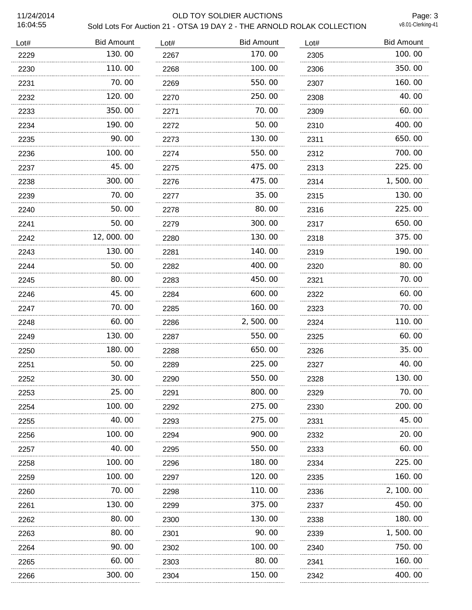#### 11/24/2014 OLD TOY SOLDIER AUCTIONS Sold Lots For Auction 21 - OTSA 19 DAY 2 - THE ARNOLD ROLAK COLLECTION

Page: 3<br>v8.01-Clerking-41

| Lot# | <b>Bid Amount</b> | Lot# | <b>Bid Amount</b> | Lot# | <b>Bid Amount</b> |
|------|-------------------|------|-------------------|------|-------------------|
| 2229 | 130.00            | 2267 | 170.00            | 2305 | 100.00            |
| 2230 | 110.00            | 2268 | 100.00            | 2306 | 350.00            |
| 2231 | 70.00             | 2269 | 550.00            | 2307 | 160.00            |
| 2232 | 120.00            | 2270 | 250.00            | 2308 | 40.00             |
| 2233 | 350.00            | 2271 | 70.00             | 2309 | 60.00             |
| 2234 | 190.00            | 2272 | 50.00             | 2310 | 400.00            |
| 2235 | 90.00             | 2273 | 130.00            | 2311 | 650.00            |
| 2236 | 100.00            | 2274 | 550.00            | 2312 | 700.00            |
| 2237 | 45.00             | 2275 | 475.00            | 2313 | 225.00            |
| 2238 | 300.00            | 2276 | 475.00            | 2314 | 1,500.00          |
| 2239 | 70.00             | 2277 | 35.00             | 2315 | 130.00            |
| 2240 | 50.00             | 2278 | 80.00             | 2316 | 225.00            |
| 2241 | 50.00             | 2279 | 300.00            | 2317 | 650.00            |
| 2242 | 12,000.00         | 2280 | 130.00            | 2318 | 375.00            |
| 2243 | 130.00            | 2281 | 140.00            | 2319 | 190.00            |
| 2244 | 50.00             | 2282 | 400.00            | 2320 | 80.00             |
| 2245 | 80.00             | 2283 | 450.00            | 2321 | 70.00             |
| 2246 | 45.00             | 2284 | 600.00            | 2322 | 60.00             |
| 2247 | 70.00             | 2285 | 160.00            | 2323 | 70.00             |
| 2248 | 60.00             | 2286 | 2,500.00          | 2324 | 110.00            |
| 2249 | 130.00            | 2287 | 550.00            | 2325 | 60.00             |
| 2250 | 180.00            | 2288 | 650.00            | 2326 | 35.00             |
| 2251 | .<br>50.00        | 2289 | 225.00            | 2327 | 40.00             |
| 2252 | 30.00             | 2290 | 550.00            | 2328 | 130.00            |
| 2253 | 25.00             | 2291 | 800.00            | 2329 | 70. 00            |
| 2254 | 100.00            | 2292 | 275.00            | 2330 | 200.00            |
| 2255 | 40.00             | 2293 | 275.00            | 2331 | 45.00             |
| 2256 | 100. 00           | 2294 | 900.00            | 2332 | 20.00             |
| 2257 | 40.00             | 2295 | 550.00            | 2333 | 60.00             |
| 2258 | 100. 00           | 2296 | 180.00            | 2334 | 225.00            |
| 2259 | 100. 00           | 2297 | 120.00            | 2335 | 160.00            |
| 2260 | 70. 00            | 2298 | 110.00            | 2336 | 2, 100. 00        |
| 2261 | 130.00            | 2299 | 375.00            | 2337 | 450.00            |
| 2262 | 80.00             | 2300 | 130.00            | 2338 | 180.00            |
| 2263 | 80.00             | 2301 | 90.00             | 2339 | 1,500.00          |
| 2264 | 90.00             | 2302 | 100.00            | 2340 | 750.00            |
| 2265 | 60.00             | 2303 | 80.00             | 2341 | 160.00            |
| 2266 | 300. 00           | 2304 | 150.00            | 2342 | 400.00            |
|      |                   |      |                   |      |                   |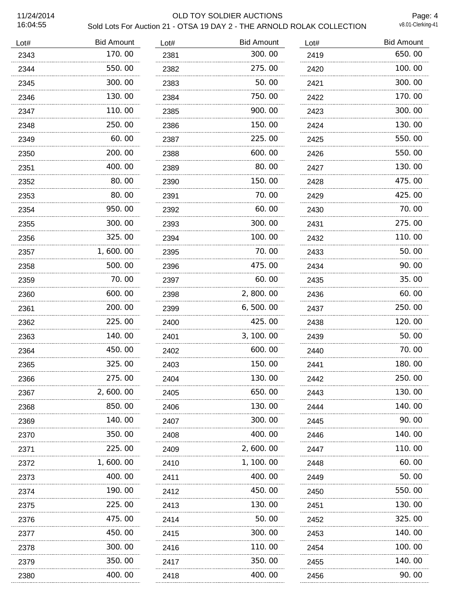## 11/24/2014 OLD TOY SOLDIER AUCTIONS Sold Lots For Auction 21 - OTSA 19 DAY 2 - THE ARNOLD ROLAK COLLECTION

Page: 4<br>v8.01-Clerking-41

| Lot# | <b>Bid Amount</b> | Lot# | <b>Bid Amount</b> | Lot#      | <b>Bid Amount</b> |
|------|-------------------|------|-------------------|-----------|-------------------|
| 2343 | 170.00            | 2381 | 300.00            | 2419      | 650.00            |
| 2344 | 550.00            | 2382 | 275.00            | 2420      | 100.00            |
| 2345 | 300.00            | 2383 | 50.00             | 2421      | 300.00            |
| 2346 | 130.00            | 2384 | 750.00            | 2422      | 170.00            |
| 2347 | 110.00            | 2385 | 900.00            | 2423<br>. | 300.00            |
| 2348 | 250.00            | 2386 | 150.00            | 2424      | 130.00            |
| 2349 | 60.00             | 2387 | 225.00            | 2425      | 550.00            |
| 2350 | 200.00            | 2388 | 600.00            | 2426      | 550.00            |
| 2351 | 400.00            | 2389 | 80.00             | 2427      | 130.00            |
| 2352 | 80.00             | 2390 | 150.00            | 2428      | 475.00            |
| 2353 | 80.00             | 2391 | 70.00             | 2429      | 425.00            |
| 2354 | 950.00            | 2392 | 60.00             | 2430      | 70.00             |
| 2355 | 300.00            | 2393 | 300.00            | 2431      | 275.00            |
| 2356 | 325.00            | 2394 | 100.00            | 2432      | 110.00            |
| 2357 | 1,600.00          | 2395 | 70.00             | 2433      | 50.00             |
| 2358 | 500.00            | 2396 | 475.00            | 2434      | 90.00             |
| 2359 | 70.00             | 2397 | 60.00             | 2435      | 35.00             |
| 2360 | 600.00            | 2398 | 2,800.00          | 2436      | 60.00             |
| 2361 | 200.00            | 2399 | 6, 500.00         | 2437      | 250.00            |
| 2362 | 225.00            | 2400 | 425.00            | 2438      | 120.00            |
| 2363 | 140.00            | 2401 | 3, 100.00         | 2439      | 50.00             |
| 2364 | 450.00            | 2402 | 600.00            | 2440      | 70.00             |
| 2365 | 325.00            | 2403 | 150.00            | 2441      | 180.00            |
| 2366 | 275.00            | 2404 | 130.00            | 2442      | 250.00            |
| 2367 | 2,600.00          | 2405 | 650.00            | 2443      | 130.00            |
| 2368 | 850.00            | 2406 | 130.00            | 2444      | 140.00            |
| 2369 | 140.00            | 2407 | 300.00            | 2445      | 90.00             |
| 2370 | 350.00            | 2408 | 400.00            | 2446      | 140.00            |
| 2371 | 225.00            | 2409 | 2, 600. 00        | 2447      | 110.00            |
| 2372 | 1, 600. 00        | 2410 | 1, 100.00         | 2448      | 60.00             |
| 2373 | 400.00            | 2411 | 400.00            | 2449      | 50.00             |
| 2374 | 190.00            | 2412 | 450.00            | 2450      | 550.00            |
| 2375 | 225.00            | 2413 | 130.00            | 2451      | 130.00            |
| 2376 | 475.00            | 2414 | 50.00             | 2452      | 325.00            |
| 2377 | 450. 00           | 2415 | 300.00            | 2453      | 140.00            |
| 2378 | 300.00            | 2416 | 110.00            | 2454      | 100.00            |
| 2379 | 350.00            | 2417 | 350.00            | 2455      | 140.00            |
| 2380 | 400.00            | 2418 | 400.00            | 2456      | 90.00             |
|      |                   |      |                   |           |                   |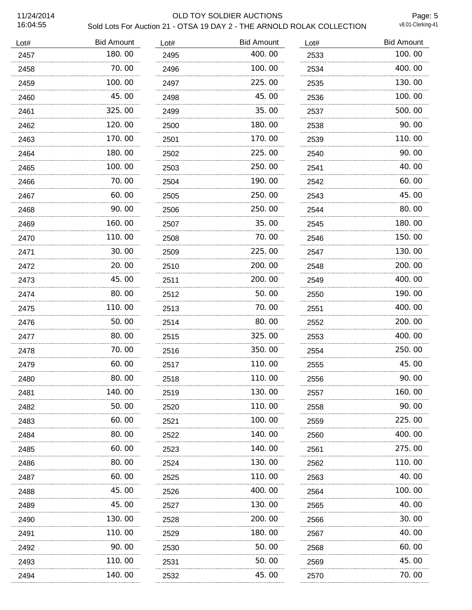## 11/24/2014 OLD TOY SOLDIER AUCTIONS Sold Lots For Auction 21 - OTSA 19 DAY 2 - THE ARNOLD ROLAK COLLECTION

Page: 5<br>v8.01-Clerking-41

| Lot#  | <b>Bid Amount</b> | Lot# | <b>Bid Amount</b> | Lot# | <b>Bid Amount</b> |
|-------|-------------------|------|-------------------|------|-------------------|
| 2457  | 180.00            | 2495 | 400.00            | 2533 | 100.00            |
| 2458  | 70.00             | 2496 | 100.00            | 2534 | 400.00            |
| 2459  | 100.00            | 2497 | 225.00            | 2535 | 130.00            |
| 2460  | 45.00             | 2498 | 45.00             | 2536 | 100.00            |
| 2461  | 325.00            | 2499 | 35.00             | 2537 | 500.00            |
| 2462  | 120.00            | 2500 | 180.00            | 2538 | 90.00             |
| 2463  | 170.00            | 2501 | 170.00            | 2539 | 110.00            |
| 2464  | 180.00            | 2502 | 225.00            | 2540 | 90.00             |
| 2465  | 100.00            | 2503 | 250.00            | 2541 | 40.00             |
| 2466  | 70.00             | 2504 | 190.00            | 2542 | 60.00             |
| 2467  | 60.00             | 2505 | 250.00            | 2543 | 45.00             |
| 2468  | 90.00             | 2506 | 250.00            | 2544 | 80.00             |
| 2469  | 160.00            | 2507 | 35.00             | 2545 | 180.00            |
| 2470  | 110.00            | 2508 | 70.00             | 2546 | 150.00            |
| 2471  | 30.00             | 2509 | 225.00            | 2547 | 130.00            |
| 2472  | 20.00             | 2510 | 200.00            | 2548 | 200.00            |
| 2473  | 45.00             | 2511 | 200.00            | 2549 | 400.00            |
| 2474  | 80.00             | 2512 | 50.00             | 2550 | 190.00            |
| 2475  | 110.00            | 2513 | 70.00             | 2551 | 400.00            |
| 2476  | 50.00             | 2514 | 80.00             | 2552 | 200.00            |
| 2477  | 80.00             | 2515 | 325.00            | 2553 | 400.00            |
| 2478  | 70.00             | 2516 | 350.00            | 2554 | 250.00            |
| 2479  | 60.00             | 2517 | 110.00            | 2555 | 45.00             |
| 2480. | 80.00             | 2518 | 110.00            | 2556 | 90.00             |
| 2481  | 140.00            | 2519 | 130.00            | 2557 | 160.00            |
| 2482  | 50.00             | 2520 | 110.00            | 2558 | 90. 00            |
| 2483  | 60.00             | 2521 | 100.00            | 2559 | 225.00            |
| 2484  | 80.00             | 2522 | 140.00            | 2560 | 400.00            |
| 2485  | 60.00             | 2523 | 140.00            | 2561 | 275.00            |
| 2486  | 80.00             | 2524 | 130.00            | 2562 | 110.00            |
| 2487  | 60.00             | 2525 | 110.00            | 2563 | 40.00             |
| 2488  | 45.00             | 2526 | 400.00            | 2564 | 100. 00           |
| 2489  | 45.00             | 2527 | 130.00            | 2565 | 40.00             |
| 2490  | 130.00            | 2528 | 200.00            | 2566 | 30.00             |
| 2491  | 110.00            | 2529 | 180.00            | 2567 | 40.00             |
| 2492  | 90.00             | 2530 | 50.00             | 2568 | 60.00             |
| 2493  | 110.00            | 2531 | 50.00             | 2569 | 45.00             |
| 2494  | 140.00            | 2532 | 45.00             | 2570 | 70.00             |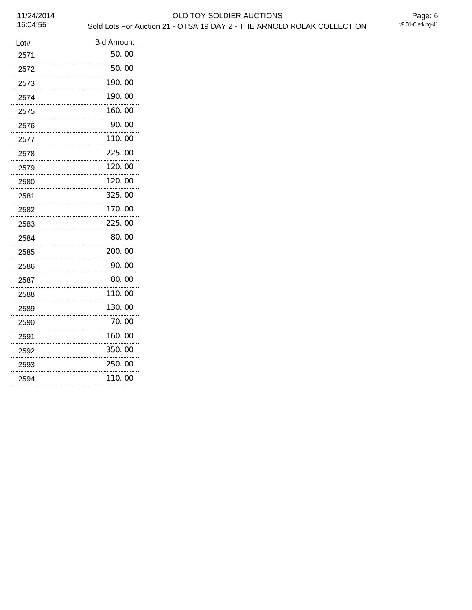11/24/2014 OLD TOY SOLDIER AUCTIONS Sold Lots For Auction 21 - OTSA 19 DAY 2 - THE ARNOLD ROLAK COLLECTION

| <b>Bid Amount</b> |
|-------------------|
| 50.00             |
| 50.00<br>.        |
| 190.00<br>.       |
| 190.00<br>.       |
| 160.00<br>.       |
| 90.00             |
| 110.00            |
| 225.00            |
| 120.00            |
| 120.00            |
| 325.00            |
| 170.00            |
| 225.00            |
| 80.00             |
| 200.00            |
| 90.00             |
| 80.00             |
| 110.00            |
| 130.00            |
| 70. 00            |
| 160.00            |
| 350.00            |
| 250.00            |
| 110.00            |
|                   |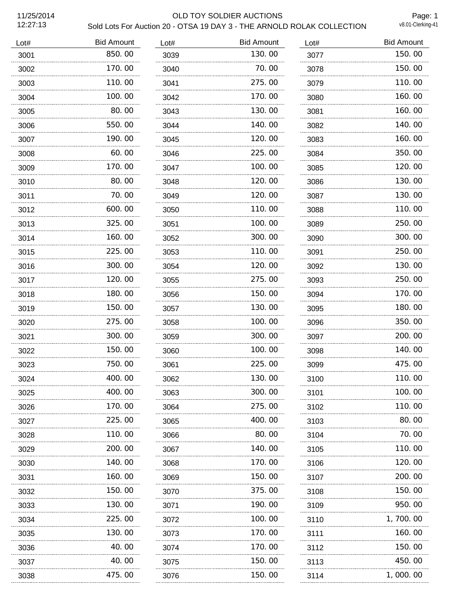12:27:13

#### 11/25/2014 OLD TOY SOLDIER AUCTIONS Sold Lots For Auction 20 - OTSA 19 DAY 3 - THE ARNOLD ROLAK COLLECTION

Page: 1<br>v8.01-Clerking-41

| Lot# | <b>Bid Amount</b> | Lot# | <b>Bid Amount</b> | Lot# | <b>Bid Amount</b> |
|------|-------------------|------|-------------------|------|-------------------|
| 3001 | 850.00            | 3039 | 130.00            | 3077 | 150.00            |
| 3002 | 170.00            | 3040 | 70.00             | 3078 | 150.00            |
| 3003 | 110.00            | 3041 | 275.00            | 3079 | 110.00            |
| 3004 | 100, 00           | 3042 | 170.00            | 3080 | 160.00            |
| 3005 | 80.00             | 3043 | 130.00            | 3081 | 160.00            |
| 3006 | 550.00            | 3044 | 140.00            | 3082 | 140.00            |
| 3007 | 190.00            | 3045 | 120.00            | 3083 | 160.00            |
| 3008 | 60.00             | 3046 | 225.00            | 3084 | 350.00            |
| 3009 | 170.00            | 3047 | 100.00            | 3085 | 120.00            |
| 3010 | 80.00             | 3048 | 120.00            | 3086 | 130.00            |
| 3011 | 70.00             | 3049 | 120.00            | 3087 | 130.00            |
| 3012 | 600.00            | 3050 | 110.00            | 3088 | 110.00            |
| 3013 | 325.00            | 3051 | 100.00            | 3089 | 250.00            |
| 3014 | 160.00            | 3052 | 300.00            | 3090 | 300.00            |
| 3015 | 225.00            | 3053 | 110.00            | 3091 | 250.00            |
| 3016 | 300.00            | 3054 | 120.00            | 3092 | 130.00            |
| 3017 | 120.00            | 3055 | 275.00            | 3093 | 250.00            |
| 3018 | 180.00            | 3056 | 150.00            | 3094 | 170.00            |
| 3019 | 150. 00           | 3057 | 130.00            | 3095 | 180.00            |
| 3020 | 275.00            | 3058 | 100. 00           | 3096 | 350.00            |
| 3021 | 300.00            | 3059 | 300.00            | 3097 | 200.00            |
| 3022 | 150.00            | 3060 | 100.00            | 3098 | 140.00            |
| 3023 | 750.00            | 3061 | 225.00            | 3099 | 475.00            |
| 3024 | 400.00            | 3062 | 130.00            | 3100 | 110.00            |
| 3025 | 400. 00           | 3063 | 300. 00           | 3101 | 100. 00           |
| 3026 | 170. 00           | 3064 | 275.00            | 3102 | 110.00            |
| 3027 | 225.00            | 3065 | 400.00            | 3103 | 80.00             |
| 3028 | 110.00            | 3066 | 80.00             | 3104 | 70. 00            |
| 3029 | 200.00            | 3067 | 140.00            | 3105 | 110.00            |
| 3030 | 140. 00           | 3068 | 170.00            | 3106 | 120.00            |
| 3031 | 160. 00           | 3069 | 150.00            | 3107 | 200.00            |
| 3032 | 150.00            | 3070 | 375.00            | 3108 | 150.00            |
| 3033 | 130.00            | 3071 | 190.00            | 3109 | 950.00            |
| 3034 | 225.00            | 3072 | 100.00            | 3110 | 1, 700. 00        |
| 3035 | 130. 00           | 3073 | 170.00            | 3111 | 160.00            |
| 3036 | 40.00             | 3074 | 170.00            | 3112 | 150.00            |
| 3037 | 40.00             | 3075 | 150.00            | 3113 | 450.00            |
| 3038 | 475.00            | 3076 | 150.00            | 3114 | 1,000.00          |
|      |                   |      |                   |      |                   |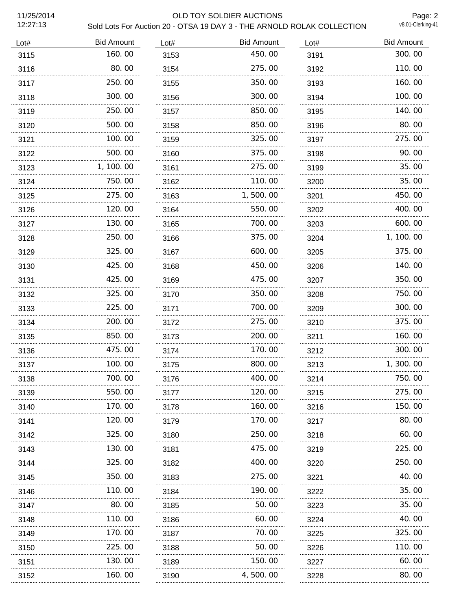12:27:13

#### 11/25/2014 OLD TOY SOLDIER AUCTIONS Sold Lots For Auction 20 - OTSA 19 DAY 3 - THE ARNOLD ROLAK COLLECTION

Page: 2<br>v8.01-Clerking-41

| Lot# | <b>Bid Amount</b> | Lot# | <b>Bid Amount</b> | Lot# | <b>Bid Amount</b> |
|------|-------------------|------|-------------------|------|-------------------|
| 3115 | 160.00            | 3153 | 450.00            | 3191 | 300.00            |
| 3116 | 80.00             | 3154 | 275.00            | 3192 | 110.00            |
| 3117 | 250.00            | 3155 | 350.00            | 3193 | 160.00            |
| 3118 | 300.00            | 3156 | 300.00            | 3194 | 100.00            |
| 3119 | 250.00            | 3157 | 850.00            | 3195 | 140.00            |
| 3120 | 500.00            | 3158 | 850.00            | 3196 | 80.00             |
| 3121 | 100.00            | 3159 | 325.00            | 3197 | 275.00            |
| 3122 | 500.00            | 3160 | 375.00            | 3198 | 90.00             |
| 3123 | 1, 100.00         | 3161 | 275.00            | 3199 | 35.00             |
| 3124 | 750.00            | 3162 | 110.00            | 3200 | 35.00             |
| 3125 | 275.00            | 3163 | 1,500.00          | 3201 | 450.00            |
| 3126 | 120.00            | 3164 | 550.00            | 3202 | 400.00            |
| 3127 | 130.00            | 3165 | 700.00            | 3203 | 600.00            |
| 3128 | 250.00            | 3166 | 375.00            | 3204 | 1, 100. 00        |
| 3129 | 325.00            | 3167 | 600.00            | 3205 | 375.00            |
| 3130 | 425.00            | 3168 | 450.00            | 3206 | 140.00            |
| 3131 | 425.00            | 3169 | 475.00            | 3207 | 350.00            |
| 3132 | 325.00            | 3170 | 350.00            | 3208 | 750.00            |
| 3133 | 225,00            | 3171 | 700.00            | 3209 | 300.00            |
| 3134 | 200, 00           | 3172 | 275.00            | 3210 | 375.00            |
| 3135 | 850.00            | 3173 | 200.00            | 3211 | 160.00            |
| 3136 | 475.00            | 3174 | 170.00            | 3212 | 300.00            |
| 3137 | 100.00            | 3175 | 800.00            | 3213 | 1,300.00          |
| 3138 | 700.00            | 3176 | 400.00            | 3214 | 750.00            |
| 3139 | 550. 00           | 3177 | 120. 00           | 3215 | 275.00            |
| 3140 | 170.00            | 3178 | 160.00            | 3216 | 150.00            |
| 3141 | 120.00            | 3179 | 170.00            | 3217 | 80.00             |
| 3142 | 325.00            | 3180 | 250.00            | 3218 | 60. 00            |
| 3143 | 130.00            | 3181 | 475.00            | 3219 | 225.00            |
| 3144 | 325.00            | 3182 | 400.00            | 3220 | 250,00            |
| 3145 | 350.00            | 3183 | 275.00            | 3221 | 40.00             |
| 3146 | 110.00            | 3184 | 190.00            | 3222 | 35.00             |
| 3147 | 80.00             | 3185 | 50.00             | 3223 | 35.00             |
| 3148 | 110.00            | 3186 | 60.00             | 3224 | 40.00             |
| 3149 | 170. 00           | 3187 | 70.00             | 3225 | 325.00            |
| 3150 | 225.00            | 3188 | 50.00             | 3226 | 110. 00           |
| 3151 | 130.00            | 3189 | 150.00            | 3227 | 60.00             |
| 3152 | 160.00            | 3190 | 4, 500. 00        | 3228 | 80.00             |
|      |                   |      |                   |      |                   |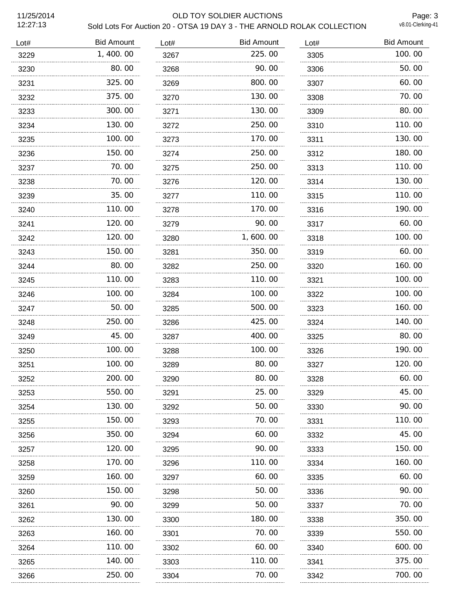11/25/2014<br>12:27:13

## OLD TOY SOLDIER AUCTIONS

Page: 3

| Sold Lots For Auction 20 - OTSA 19 DAY 3 - THE ARNOLD ROLAK COLLECTION | v8.01-Clerking-41 |
|------------------------------------------------------------------------|-------------------|
|------------------------------------------------------------------------|-------------------|

| <b>Bid Amount</b> | Lot#   | <b>Bid Amount</b> | Lot# | <b>Bid Amount</b> |
|-------------------|--------|-------------------|------|-------------------|
| 1,400.00          | 3267   | 225.00            | 3305 | 100.00            |
| 80.00             | 3268   | 90.00             | 3306 | 50.00             |
| 325.00            | 3269   | 800.00            | 3307 | 60.00             |
| 375.00            | 3270   | 130.00            | 3308 | 70.00             |
| 300.00            | 3271   | 130.00            | 3309 | 80.00             |
| 130.00            | 3272   | 250.00            | 3310 | 110.00            |
| 100.00            | 3273   | 170.00            | 3311 | 130.00            |
| 150.00            | 3274   | 250.00            | 3312 | 180.00            |
| 70.00             | 3275   | 250.00            | 3313 | 110.00            |
| 70.00             | 3276   | 120,00            | 3314 | 130.00            |
| 35.00             | 3277   | 110.00            | 3315 | 110.00            |
| 110.00            | 3278   | 170.00            | 3316 | 190.00            |
| 120.00            | 3279   | 90.00             | 3317 | 60.00             |
| 120.00            | 3280   | 1,600.00          | 3318 | 100.00            |
| 150.00            | 3281   | 350.00            | 3319 | 60.00             |
| 80.00             | 3282   | 250.00            | 3320 | 160.00            |
| 110.00            | 3283   | 110.00            | 3321 | 100.00            |
| 100, 00           | 3284   | 100.00            | 3322 | 100.00            |
| 50.00             | 3285   | 500.00            | 3323 | 160.00            |
| 250.00            | 3286   | 425,00            | 3324 | 140.00            |
| 45.00             | 3287   | 400.00            | 3325 | 80.00             |
| 100.00            | 3288   | 100.00            | 3326 | 190.00            |
| 100.00            | 3289   | 80.00             | 3327 | 120.00            |
| 200.00            | 3290   | 80.00             | 3328 | 60.00             |
| 550.00            | 3291   | 25.00             | 3329 | 45.00             |
| 130.00            | 3292   | 50.00             | 3330 | 90.00             |
| 150.00            | 3293   | 70.00             | 3331 | 110.00            |
| 350. 00           | 3294   | 60.00             | 3332 | 45.00             |
| 120.00            | 3295   | 90. OO            | 3333 | 150.00            |
| 170.00            | 3296   | 110.00            | 3334 | 160.00            |
| 160.00            | 3297   | 60.00             | 3335 | 60.00             |
| 150.00            | 3298   | 50.00             | 3336 | 90.00             |
| 90.00             | 3299   | 50.00             | 3337 | 70.00             |
| 130.00            | 3300   | 180.00            | 3338 | 350.00            |
| 160.00            | 3301   | 70.00             | 3339 | 550.00            |
| 110.00            | 3302   | 60.00             | 3340 | 600.00            |
| 140.00            | 3303   | 110.00            | 3341 | 375.00            |
| 250.00            | 3304   | 70.00             | 3342 | 700.00            |
|                   | .<br>. |                   |      |                   |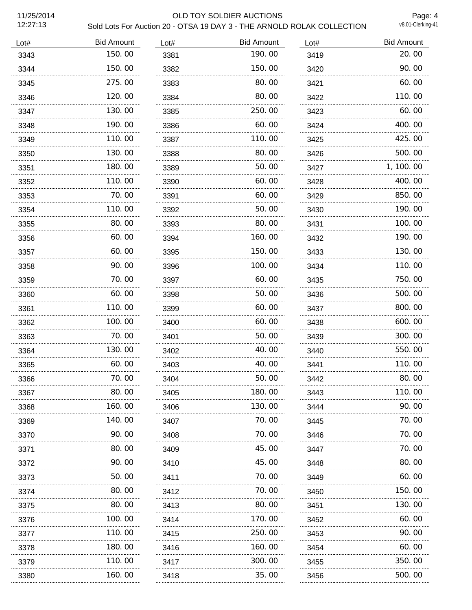12:27:13

#### 11/25/2014 OLD TOY SOLDIER AUCTIONS Sold Lots For Auction 20 - OTSA 19 DAY 3 - THE ARNOLD ROLAK COLLECTION

Page: 4<br>v8.01-Clerking-41

| Lot# | <b>Bid Amount</b> | Lot# | <b>Bid Amount</b> | Lot# | <b>Bid Amount</b> |
|------|-------------------|------|-------------------|------|-------------------|
| 3343 | 150.00            | 3381 | 190.00            | 3419 | 20.00             |
| 3344 | 150.00            | 3382 | 150.00            | 3420 | 90.00             |
| 3345 | 275.00            | 3383 | 80.00             | 3421 | 60.00             |
| 3346 | 120.00            | 3384 | 80.00             | 3422 | 110.00            |
| 3347 | 130.00            | 3385 | 250.00            | 3423 | 60.00             |
| 3348 | 190.00            | 3386 | 60.00             | 3424 | 400.00            |
| 3349 | 110.00            | 3387 | 110.00            | 3425 | 425.00            |
| 3350 | 130.00            | 3388 | 80.00             | 3426 | 500.00            |
| 3351 | 180.00            | 3389 | 50.00             | 3427 | 1, 100. 00        |
| 3352 | 110.00            | 3390 | 60.00             | 3428 | 400.00            |
| 3353 | 70.00             | 3391 | 60.00             | 3429 | 850.00            |
| 3354 | 110.00            | 3392 | 50.00             | 3430 | 190.00            |
| 3355 | 80.00             | 3393 | 80.00             | 3431 | 100.00            |
| 3356 | 60.00             | 3394 | 160.00            | 3432 | 190.00            |
| 3357 | 60.00             | 3395 | 150.00            | 3433 | 130.00            |
| 3358 | 90.00             | 3396 | 100.00            | 3434 | 110.00            |
| 3359 | 70.00             | 3397 | 60.00             | 3435 | 750.00            |
| 3360 | 60.00             | 3398 | 50.00             | 3436 | 500.00            |
| 3361 | 110.00            | 3399 | 60.00             | 3437 | 800.00            |
| 3362 | 100.00            | 3400 | 60.00             | 3438 | 600.00            |
| 3363 | 70.00             | 3401 | 50.00             | 3439 | 300.00            |
| 3364 | 130.00            | 3402 | 40.00             | 3440 | 550.00            |
| 3365 | 60.00             | 3403 | 40.00             | 3441 | 110.00            |
| 3366 | 70.00             | 3404 | 50.00             | 3442 | 80.00             |
| 3367 | 80.00             | 3405 | 180.00            | 3443 | 110.00            |
| 3368 | 160.00            | 3406 | 130.00            | 3444 | 90.00             |
| 3369 | 140. 00           | 3407 | 70.00             | 3445 | 70.00             |
| 3370 | 90.00             | 3408 | 70.00             | 3446 | 70.00             |
| 3371 | 80.00             | 3409 | 45.00             | 3447 | 70.00             |
| 3372 | 90.00             | 3410 | 45.00             | 3448 | 80.00             |
| 3373 | 50.00             | 3411 | 70. 00            | 3449 | 60.00             |
| 3374 | 80.00             | 3412 | 70.00             | 3450 | 150.00            |
| 3375 | 80.00             | 3413 | 80.00             | 3451 | 130.00            |
| 3376 | 100.00            | 3414 | 170.00            | 3452 | 60.00             |
| 3377 | 110.00            | 3415 | 250.00            | 3453 | 90.00             |
| 3378 | 180.00            | 3416 | 160.00            | 3454 | 60.00             |
| 3379 | 110.00            | 3417 | 300.00            | 3455 | 350.00            |
| 3380 | 160. 00           | 3418 | 35.00             | 3456 | 500.00            |
|      |                   |      |                   |      |                   |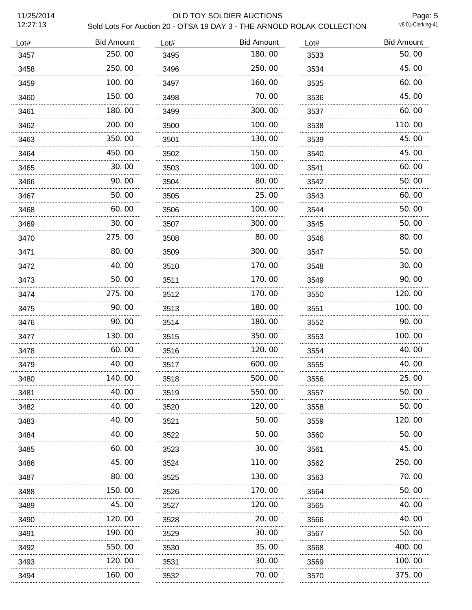11/25/2014<br>12:27:13

# OLD TOY SOLDIER AUCTIONS

Page: 5

| Sold Lots For Auction 20 - OTSA 19 DAY 3 - THE ARNOLD ROLAK COLLECTION | v8.01-Clerking-41 |
|------------------------------------------------------------------------|-------------------|
|------------------------------------------------------------------------|-------------------|

| <b>Bid Amount</b> | Lot#   | <b>Bid Amount</b> | Lot# | <b>Bid Amount</b> |
|-------------------|--------|-------------------|------|-------------------|
| 250.00            | 3495   | 180.00            | 3533 | 50.00             |
| 250.00            | 3496   | 250.00            | 3534 | 45.00             |
| 100.00            | 3497   | 160.00            | 3535 | 60.00             |
| 150.00            | 3498   | 70.00             | 3536 | 45.00             |
| 180.00            | 3499   | 300.00            | 3537 | 60.00             |
| 200.00            | 3500   | 100.00            | 3538 | 110.00            |
| 350.00            | 3501   | 130.00            | 3539 | 45.00             |
| 450.00            | 3502   | 150.00            | 3540 | 45.00             |
| 30.00             | 3503   | 100.00            | 3541 | 60.00             |
| 90.00             | 3504   | 80.00             | 3542 | 50.00             |
| 50.00             | 3505   | 25.00             | 3543 | 60.00             |
| 60.00             | 3506   | 100.00            | 3544 | 50.00             |
| 30.00             | 3507   | 300.00            | 3545 | 50.00             |
| 275.00            | 3508   | 80.00             | 3546 | 80.00             |
| 80.00             | 3509   | 300.00            | 3547 | 50.00             |
| 40.00             | 3510   | 170.00            | 3548 | 30.00             |
| 50.00             | 3511   | 170.00            | 3549 | 90.00             |
| 275.00            | 3512   | 170.00            | 3550 | 120.00            |
| 90.00             | 3513   | 180.00            | 3551 | 100.00            |
| 90.00             | 3514   | 180.00            | 3552 | 90.00             |
| 130.00            | 3515   | 350.00            | 3553 | 100.00            |
| 60.00             | 3516   | 120.00            | 3554 | 40.00             |
| 40.00             | 3517   | 600.00            | 3555 | 40.00             |
| 140.00            | 3518   | 500.00            | 3556 | 25.00             |
| 40.00             | 3519   | 550.00            | 3557 | 50.00             |
| 40.00             | 3520   | 120.00            | 3558 | 50.00             |
| 40.00             | 3521   | 50.00             | 3559 | 120.00            |
| 40.00             | 3522   | 50.00             | 3560 | 50.00             |
| 60.00             | 3523   | 30.00             | 3561 | 45.00             |
| 45.00             | 3524   | 110.00            | 3562 | 250.00            |
| 80.00             | 3525   | 130.00            | 3563 | 70.00             |
| 150. 00           | 3526   | 170.00            | 3564 | 50.00             |
| 45.00             | 3527   | 120.00            | 3565 | 40.00             |
| 120.00            | 3528   | 20.00             | 3566 | 40.00             |
| 190.00            | 3529   | 30.00             | 3567 | 50. 00            |
| 550.00            | 3530   | 35.00             | 3568 | 400.00            |
| 120.00            | 3531   | 30.00             | 3569 | 100.00            |
| 160.00            | 3532   | 70.00             | 3570 | 375.00            |
|                   | .<br>. |                   |      |                   |